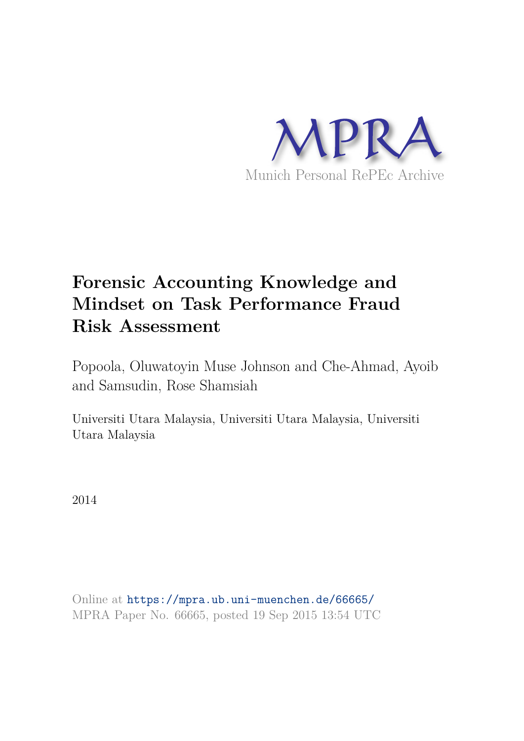

# **Forensic Accounting Knowledge and Mindset on Task Performance Fraud Risk Assessment**

Popoola, Oluwatoyin Muse Johnson and Che-Ahmad, Ayoib and Samsudin, Rose Shamsiah

Universiti Utara Malaysia, Universiti Utara Malaysia, Universiti Utara Malaysia

2014

Online at https://mpra.ub.uni-muenchen.de/66665/ MPRA Paper No. 66665, posted 19 Sep 2015 13:54 UTC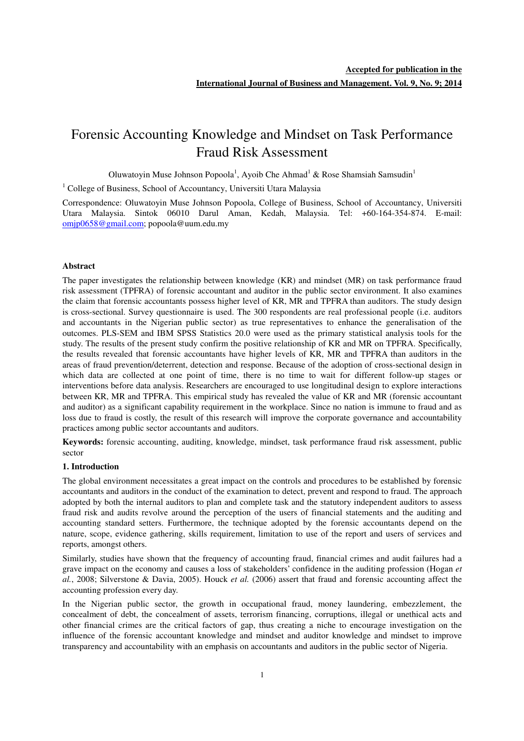# Forensic Accounting Knowledge and Mindset on Task Performance Fraud Risk Assessment

Oluwatoyin Muse Johnson Popoola<sup>1</sup>, Ayoib Che Ahmad<sup>1</sup> & Rose Shamsiah Samsudin<sup>1</sup>

<sup>1</sup> College of Business, School of Accountancy, Universiti Utara Malaysia

Correspondence: Oluwatoyin Muse Johnson Popoola, College of Business, School of Accountancy, Universiti Utara Malaysia. Sintok 06010 Darul Aman, Kedah, Malaysia. Tel: +60-164-354-874. E-mail: omjp0658@gmail.com; popoola@uum.edu.my

#### **Abstract**

The paper investigates the relationship between knowledge (KR) and mindset (MR) on task performance fraud risk assessment (TPFRA) of forensic accountant and auditor in the public sector environment. It also examines the claim that forensic accountants possess higher level of KR, MR and TPFRA than auditors. The study design is cross-sectional. Survey questionnaire is used. The 300 respondents are real professional people (i.e. auditors and accountants in the Nigerian public sector) as true representatives to enhance the generalisation of the outcomes. PLS-SEM and IBM SPSS Statistics 20.0 were used as the primary statistical analysis tools for the study. The results of the present study confirm the positive relationship of KR and MR on TPFRA. Specifically, the results revealed that forensic accountants have higher levels of KR, MR and TPFRA than auditors in the areas of fraud prevention/deterrent, detection and response. Because of the adoption of cross-sectional design in which data are collected at one point of time, there is no time to wait for different follow-up stages or interventions before data analysis. Researchers are encouraged to use longitudinal design to explore interactions between KR, MR and TPFRA. This empirical study has revealed the value of KR and MR (forensic accountant and auditor) as a significant capability requirement in the workplace. Since no nation is immune to fraud and as loss due to fraud is costly, the result of this research will improve the corporate governance and accountability practices among public sector accountants and auditors.

**Keywords:** forensic accounting, auditing, knowledge, mindset, task performance fraud risk assessment, public sector

#### **1. Introduction**

The global environment necessitates a great impact on the controls and procedures to be established by forensic accountants and auditors in the conduct of the examination to detect, prevent and respond to fraud. The approach adopted by both the internal auditors to plan and complete task and the statutory independent auditors to assess fraud risk and audits revolve around the perception of the users of financial statements and the auditing and accounting standard setters. Furthermore, the technique adopted by the forensic accountants depend on the nature, scope, evidence gathering, skills requirement, limitation to use of the report and users of services and reports, amongst others.

Similarly, studies have shown that the frequency of accounting fraud, financial crimes and audit failures had a grave impact on the economy and causes a loss of stakeholders' confidence in the auditing profession (Hogan *et al.*, 2008; Silverstone & Davia, 2005). Houck *et al.* (2006) assert that fraud and forensic accounting affect the accounting profession every day.

In the Nigerian public sector, the growth in occupational fraud, money laundering, embezzlement, the concealment of debt, the concealment of assets, terrorism financing, corruptions, illegal or unethical acts and other financial crimes are the critical factors of gap, thus creating a niche to encourage investigation on the influence of the forensic accountant knowledge and mindset and auditor knowledge and mindset to improve transparency and accountability with an emphasis on accountants and auditors in the public sector of Nigeria.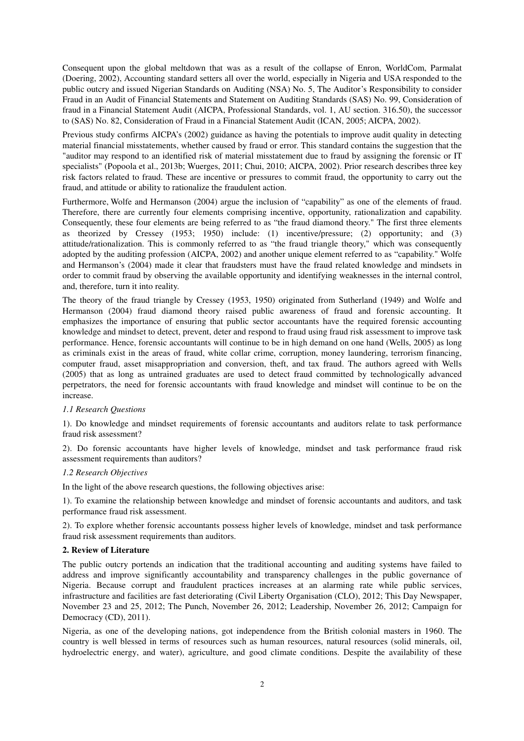Consequent upon the global meltdown that was as a result of the collapse of Enron, WorldCom, Parmalat (Doering, 2002), Accounting standard setters all over the world, especially in Nigeria and USA responded to the public outcry and issued Nigerian Standards on Auditing (NSA) No. 5, The Auditor's Responsibility to consider Fraud in an Audit of Financial Statements and Statement on Auditing Standards (SAS) No. 99, Consideration of fraud in a Financial Statement Audit (AICPA, Professional Standards, vol. 1, AU section. 316.50), the successor to (SAS) No. 82, Consideration of Fraud in a Financial Statement Audit (ICAN, 2005; AICPA, 2002).

Previous study confirms AICPA's (2002) guidance as having the potentials to improve audit quality in detecting material financial misstatements, whether caused by fraud or error. This standard contains the suggestion that the "auditor may respond to an identified risk of material misstatement due to fraud by assigning the forensic or IT specialists" (Popoola et al., 2013b; Wuerges, 2011; Chui, 2010; AICPA, 2002). Prior research describes three key risk factors related to fraud. These are incentive or pressures to commit fraud, the opportunity to carry out the fraud, and attitude or ability to rationalize the fraudulent action.

Furthermore, Wolfe and Hermanson (2004) argue the inclusion of "capability" as one of the elements of fraud. Therefore, there are currently four elements comprising incentive, opportunity, rationalization and capability. Consequently, these four elements are being referred to as "the fraud diamond theory." The first three elements as theorized by Cressey (1953; 1950) include: (1) incentive/pressure; (2) opportunity; and (3) attitude/rationalization. This is commonly referred to as "the fraud triangle theory," which was consequently adopted by the auditing profession (AICPA, 2002) and another unique element referred to as "capability." Wolfe and Hermanson's (2004) made it clear that fraudsters must have the fraud related knowledge and mindsets in order to commit fraud by observing the available opportunity and identifying weaknesses in the internal control, and, therefore, turn it into reality.

The theory of the fraud triangle by Cressey (1953, 1950) originated from Sutherland (1949) and Wolfe and Hermanson (2004) fraud diamond theory raised public awareness of fraud and forensic accounting. It emphasizes the importance of ensuring that public sector accountants have the required forensic accounting knowledge and mindset to detect, prevent, deter and respond to fraud using fraud risk assessment to improve task performance. Hence, forensic accountants will continue to be in high demand on one hand (Wells, 2005) as long as criminals exist in the areas of fraud, white collar crime, corruption, money laundering, terrorism financing, computer fraud, asset misappropriation and conversion, theft, and tax fraud. The authors agreed with Wells (2005) that as long as untrained graduates are used to detect fraud committed by technologically advanced perpetrators, the need for forensic accountants with fraud knowledge and mindset will continue to be on the increase.

#### *1.1 Research Questions*

1). Do knowledge and mindset requirements of forensic accountants and auditors relate to task performance fraud risk assessment?

2). Do forensic accountants have higher levels of knowledge, mindset and task performance fraud risk assessment requirements than auditors?

#### *1.2 Research Objectives*

In the light of the above research questions, the following objectives arise:

1). To examine the relationship between knowledge and mindset of forensic accountants and auditors, and task performance fraud risk assessment.

2). To explore whether forensic accountants possess higher levels of knowledge, mindset and task performance fraud risk assessment requirements than auditors.

#### **2. Review of Literature**

The public outcry portends an indication that the traditional accounting and auditing systems have failed to address and improve significantly accountability and transparency challenges in the public governance of Nigeria. Because corrupt and fraudulent practices increases at an alarming rate while public services, infrastructure and facilities are fast deteriorating (Civil Liberty Organisation (CLO), 2012; This Day Newspaper, November 23 and 25, 2012; The Punch, November 26, 2012; Leadership, November 26, 2012; Campaign for Democracy (CD), 2011).

Nigeria, as one of the developing nations, got independence from the British colonial masters in 1960. The country is well blessed in terms of resources such as human resources, natural resources (solid minerals, oil, hydroelectric energy, and water), agriculture, and good climate conditions. Despite the availability of these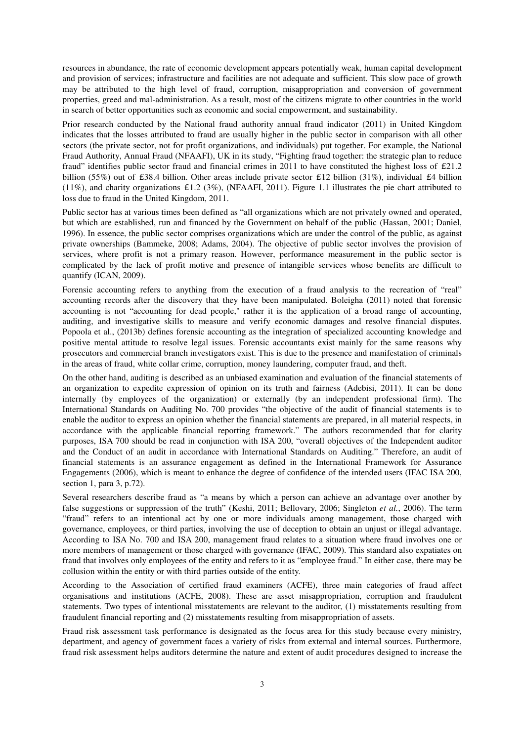resources in abundance, the rate of economic development appears potentially weak, human capital development and provision of services; infrastructure and facilities are not adequate and sufficient. This slow pace of growth may be attributed to the high level of fraud, corruption, misappropriation and conversion of government properties, greed and mal-administration. As a result, most of the citizens migrate to other countries in the world in search of better opportunities such as economic and social empowerment, and sustainability.

Prior research conducted by the National fraud authority annual fraud indicator (2011) in United Kingdom indicates that the losses attributed to fraud are usually higher in the public sector in comparison with all other sectors (the private sector, not for profit organizations, and individuals) put together. For example, the National Fraud Authority, Annual Fraud (NFAAFI), UK in its study, "Fighting fraud together: the strategic plan to reduce fraud" identifies public sector fraud and financial crimes in 2011 to have constituted the highest loss of £21.2 billion (55%) out of £38.4 billion. Other areas include private sector £12 billion (31%), individual £4 billion (11%), and charity organizations £1.2 (3%), (NFAAFI, 2011). Figure 1.1 illustrates the pie chart attributed to loss due to fraud in the United Kingdom, 2011.

Public sector has at various times been defined as "all organizations which are not privately owned and operated, but which are established, run and financed by the Government on behalf of the public (Hassan, 2001; Daniel, 1996). In essence, the public sector comprises organizations which are under the control of the public, as against private ownerships (Bammeke, 2008; Adams, 2004). The objective of public sector involves the provision of services, where profit is not a primary reason. However, performance measurement in the public sector is complicated by the lack of profit motive and presence of intangible services whose benefits are difficult to quantify (ICAN, 2009).

Forensic accounting refers to anything from the execution of a fraud analysis to the recreation of "real" accounting records after the discovery that they have been manipulated. Boleigha (2011) noted that forensic accounting is not "accounting for dead people," rather it is the application of a broad range of accounting, auditing, and investigative skills to measure and verify economic damages and resolve financial disputes. Popoola et al., (2013b) defines forensic accounting as the integration of specialized accounting knowledge and positive mental attitude to resolve legal issues. Forensic accountants exist mainly for the same reasons why prosecutors and commercial branch investigators exist. This is due to the presence and manifestation of criminals in the areas of fraud, white collar crime, corruption, money laundering, computer fraud, and theft.

On the other hand, auditing is described as an unbiased examination and evaluation of the financial statements of an organization to expedite expression of opinion on its truth and fairness (Adebisi, 2011). It can be done internally (by employees of the organization) or externally (by an independent professional firm). The International Standards on Auditing No. 700 provides "the objective of the audit of financial statements is to enable the auditor to express an opinion whether the financial statements are prepared, in all material respects, in accordance with the applicable financial reporting framework." The authors recommended that for clarity purposes, ISA 700 should be read in conjunction with ISA 200, "overall objectives of the Independent auditor and the Conduct of an audit in accordance with International Standards on Auditing." Therefore, an audit of financial statements is an assurance engagement as defined in the International Framework for Assurance Engagements (2006), which is meant to enhance the degree of confidence of the intended users (IFAC ISA 200, section 1, para 3, p.72).

Several researchers describe fraud as "a means by which a person can achieve an advantage over another by false suggestions or suppression of the truth" (Keshi, 2011; Bellovary, 2006; Singleton *et al.*, 2006). The term "fraud" refers to an intentional act by one or more individuals among management, those charged with governance, employees, or third parties, involving the use of deception to obtain an unjust or illegal advantage. According to ISA No. 700 and ISA 200, management fraud relates to a situation where fraud involves one or more members of management or those charged with governance (IFAC, 2009). This standard also expatiates on fraud that involves only employees of the entity and refers to it as "employee fraud." In either case, there may be collusion within the entity or with third parties outside of the entity.

According to the Association of certified fraud examiners (ACFE), three main categories of fraud affect organisations and institutions (ACFE, 2008). These are asset misappropriation, corruption and fraudulent statements. Two types of intentional misstatements are relevant to the auditor, (1) misstatements resulting from fraudulent financial reporting and (2) misstatements resulting from misappropriation of assets.

Fraud risk assessment task performance is designated as the focus area for this study because every ministry, department, and agency of government faces a variety of risks from external and internal sources. Furthermore, fraud risk assessment helps auditors determine the nature and extent of audit procedures designed to increase the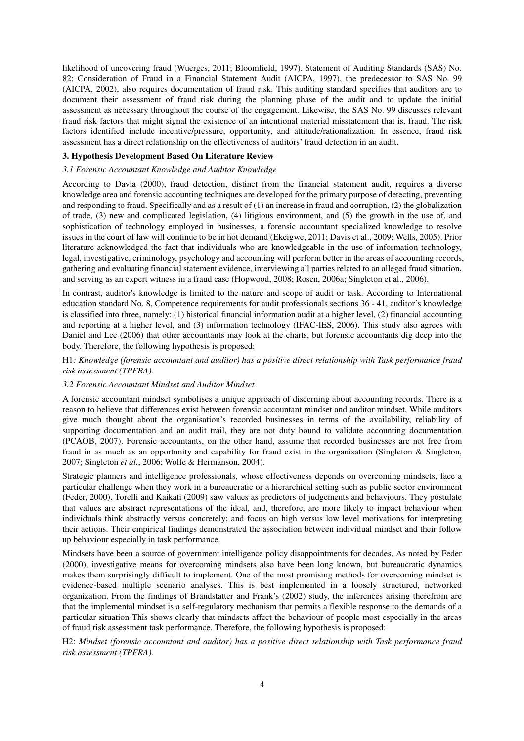likelihood of uncovering fraud (Wuerges, 2011; Bloomfield, 1997). Statement of Auditing Standards (SAS) No. 82: Consideration of Fraud in a Financial Statement Audit (AICPA, 1997), the predecessor to SAS No. 99 (AICPA, 2002), also requires documentation of fraud risk. This auditing standard specifies that auditors are to document their assessment of fraud risk during the planning phase of the audit and to update the initial assessment as necessary throughout the course of the engagement. Likewise, the SAS No. 99 discusses relevant fraud risk factors that might signal the existence of an intentional material misstatement that is, fraud. The risk factors identified include incentive/pressure, opportunity, and attitude/rationalization. In essence, fraud risk assessment has a direct relationship on the effectiveness of auditors' fraud detection in an audit.

#### **3. Hypothesis Development Based On Literature Review**

#### *3.1 Forensic Accountant Knowledge and Auditor Knowledge*

According to Davia (2000), fraud detection, distinct from the financial statement audit, requires a diverse knowledge area and forensic accounting techniques are developed for the primary purpose of detecting, preventing and responding to fraud. Specifically and as a result of (1) an increase in fraud and corruption, (2) the globalization of trade, (3) new and complicated legislation, (4) litigious environment, and (5) the growth in the use of, and sophistication of technology employed in businesses, a forensic accountant specialized knowledge to resolve issues in the court of law will continue to be in hot demand (Ekeigwe, 2011; Davis et al., 2009; Wells, 2005). Prior literature acknowledged the fact that individuals who are knowledgeable in the use of information technology, legal, investigative, criminology, psychology and accounting will perform better in the areas of accounting records, gathering and evaluating financial statement evidence, interviewing all parties related to an alleged fraud situation, and serving as an expert witness in a fraud case (Hopwood, 2008; Rosen, 2006a; Singleton et al., 2006).

In contrast, auditor's knowledge is limited to the nature and scope of audit or task. According to International education standard No. 8, Competence requirements for audit professionals sections 36 - 41, auditor's knowledge is classified into three, namely: (1) historical financial information audit at a higher level, (2) financial accounting and reporting at a higher level, and (3) information technology (IFAC-IES, 2006). This study also agrees with Daniel and Lee (2006) that other accountants may look at the charts, but forensic accountants dig deep into the body. Therefore, the following hypothesis is proposed:

# H1*: Knowledge (forensic accountant and auditor) has a positive direct relationship with Task performance fraud risk assessment (TPFRA).*

#### *3.2 Forensic Accountant Mindset and Auditor Mindset*

A forensic accountant mindset symbolises a unique approach of discerning about accounting records. There is a reason to believe that differences exist between forensic accountant mindset and auditor mindset. While auditors give much thought about the organisation's recorded businesses in terms of the availability, reliability of supporting documentation and an audit trail, they are not duty bound to validate accounting documentation (PCAOB, 2007). Forensic accountants, on the other hand, assume that recorded businesses are not free from fraud in as much as an opportunity and capability for fraud exist in the organisation (Singleton & Singleton, 2007; Singleton *et al.*, 2006; Wolfe & Hermanson, 2004).

Strategic planners and intelligence professionals, whose effectiveness depends on overcoming mindsets, face a particular challenge when they work in a bureaucratic or a hierarchical setting such as public sector environment (Feder, 2000). Torelli and Kaikati (2009) saw values as predictors of judgements and behaviours. They postulate that values are abstract representations of the ideal, and, therefore, are more likely to impact behaviour when individuals think abstractly versus concretely; and focus on high versus low level motivations for interpreting their actions. Their empirical findings demonstrated the association between individual mindset and their follow up behaviour especially in task performance.

Mindsets have been a source of government intelligence policy disappointments for decades. As noted by Feder (2000), investigative means for overcoming mindsets also have been long known, but bureaucratic dynamics makes them surprisingly difficult to implement. One of the most promising methods for overcoming mindset is evidence-based multiple scenario analyses. This is best implemented in a loosely structured, networked organization. From the findings of Brandstatter and Frank's (2002) study, the inferences arising therefrom are that the implemental mindset is a self-regulatory mechanism that permits a flexible response to the demands of a particular situation This shows clearly that mindsets affect the behaviour of people most especially in the areas of fraud risk assessment task performance. Therefore, the following hypothesis is proposed:

H2: *Mindset (forensic accountant and auditor) has a positive direct relationship with Task performance fraud risk assessment (TPFRA).*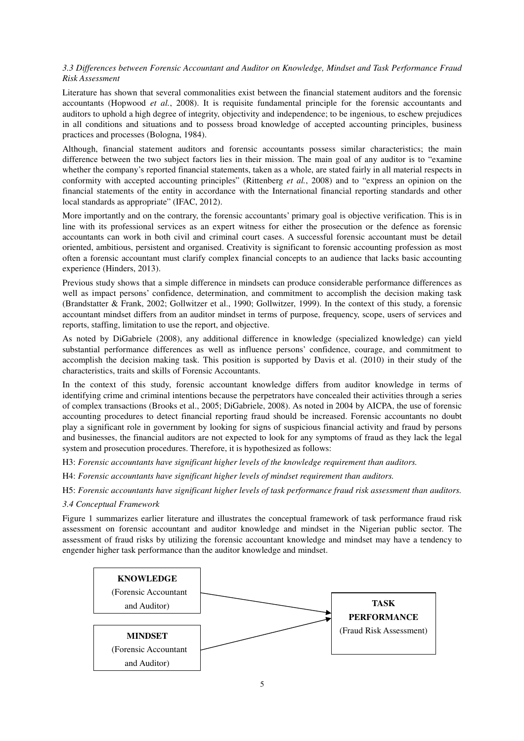# *3.3 Differences between Forensic Accountant and Auditor on Knowledge, Mindset and Task Performance Fraud Risk Assessment*

Literature has shown that several commonalities exist between the financial statement auditors and the forensic accountants (Hopwood *et al.*, 2008). It is requisite fundamental principle for the forensic accountants and auditors to uphold a high degree of integrity, objectivity and independence; to be ingenious, to eschew prejudices in all conditions and situations and to possess broad knowledge of accepted accounting principles, business practices and processes (Bologna, 1984).

Although, financial statement auditors and forensic accountants possess similar characteristics; the main difference between the two subject factors lies in their mission. The main goal of any auditor is to "examine whether the company's reported financial statements, taken as a whole, are stated fairly in all material respects in conformity with accepted accounting principles" (Rittenberg *et al.*, 2008) and to "express an opinion on the financial statements of the entity in accordance with the International financial reporting standards and other local standards as appropriate" (IFAC, 2012).

More importantly and on the contrary, the forensic accountants' primary goal is objective verification. This is in line with its professional services as an expert witness for either the prosecution or the defence as forensic accountants can work in both civil and criminal court cases. A successful forensic accountant must be detail oriented, ambitious, persistent and organised. Creativity is significant to forensic accounting profession as most often a forensic accountant must clarify complex financial concepts to an audience that lacks basic accounting experience (Hinders, 2013).

Previous study shows that a simple difference in mindsets can produce considerable performance differences as well as impact persons' confidence, determination, and commitment to accomplish the decision making task (Brandstatter & Frank, 2002; Gollwitzer et al., 1990; Gollwitzer, 1999). In the context of this study, a forensic accountant mindset differs from an auditor mindset in terms of purpose, frequency, scope, users of services and reports, staffing, limitation to use the report, and objective.

As noted by DiGabriele (2008), any additional difference in knowledge (specialized knowledge) can yield substantial performance differences as well as influence persons' confidence, courage, and commitment to accomplish the decision making task. This position is supported by Davis et al. (2010) in their study of the characteristics, traits and skills of Forensic Accountants.

In the context of this study, forensic accountant knowledge differs from auditor knowledge in terms of identifying crime and criminal intentions because the perpetrators have concealed their activities through a series of complex transactions (Brooks et al., 2005; DiGabriele, 2008). As noted in 2004 by AICPA, the use of forensic accounting procedures to detect financial reporting fraud should be increased. Forensic accountants no doubt play a significant role in government by looking for signs of suspicious financial activity and fraud by persons and businesses, the financial auditors are not expected to look for any symptoms of fraud as they lack the legal system and prosecution procedures. Therefore, it is hypothesized as follows:

H3: *Forensic accountants have significant higher levels of the knowledge requirement than auditors.* 

- H4: *Forensic accountants have significant higher levels of mindset requirement than auditors.*
- H5: *Forensic accountants have significant higher levels of task performance fraud risk assessment than auditors.*

# *3.4 Conceptual Framework*

Figure 1 summarizes earlier literature and illustrates the conceptual framework of task performance fraud risk assessment on forensic accountant and auditor knowledge and mindset in the Nigerian public sector. The assessment of fraud risks by utilizing the forensic accountant knowledge and mindset may have a tendency to engender higher task performance than the auditor knowledge and mindset.

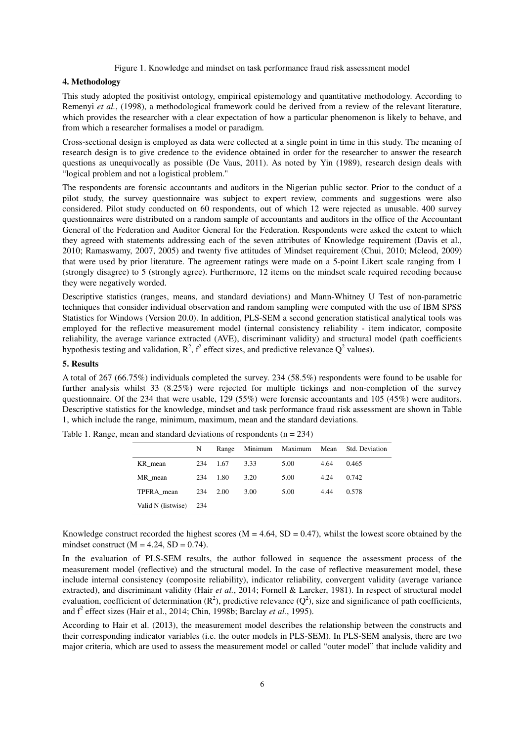#### Figure 1. Knowledge and mindset on task performance fraud risk assessment model

# **4. Methodology**

This study adopted the positivist ontology, empirical epistemology and quantitative methodology. According to Remenyi *et al.*, (1998), a methodological framework could be derived from a review of the relevant literature, which provides the researcher with a clear expectation of how a particular phenomenon is likely to behave, and from which a researcher formalises a model or paradigm.

Cross-sectional design is employed as data were collected at a single point in time in this study. The meaning of research design is to give credence to the evidence obtained in order for the researcher to answer the research questions as unequivocally as possible (De Vaus, 2011). As noted by Yin (1989), research design deals with "logical problem and not a logistical problem."

The respondents are forensic accountants and auditors in the Nigerian public sector. Prior to the conduct of a pilot study, the survey questionnaire was subject to expert review, comments and suggestions were also considered. Pilot study conducted on 60 respondents, out of which 12 were rejected as unusable. 400 survey questionnaires were distributed on a random sample of accountants and auditors in the office of the Accountant General of the Federation and Auditor General for the Federation. Respondents were asked the extent to which they agreed with statements addressing each of the seven attributes of Knowledge requirement (Davis et al., 2010; Ramaswamy, 2007, 2005) and twenty five attitudes of Mindset requirement (Chui, 2010; Mcleod, 2009) that were used by prior literature. The agreement ratings were made on a 5-point Likert scale ranging from 1 (strongly disagree) to 5 (strongly agree). Furthermore, 12 items on the mindset scale required recoding because they were negatively worded.

Descriptive statistics (ranges, means, and standard deviations) and Mann-Whitney U Test of non-parametric techniques that consider individual observation and random sampling were computed with the use of IBM SPSS Statistics for Windows (Version 20.0). In addition, PLS-SEM a second generation statistical analytical tools was employed for the reflective measurement model (internal consistency reliability - item indicator, composite reliability, the average variance extracted (AVE), discriminant validity) and structural model (path coefficients hypothesis testing and validation,  $R^2$ ,  $f^2$  effect sizes, and predictive relevance  $Q^2$  values).

### **5. Results**

A total of 267 (66.75%) individuals completed the survey. 234 (58.5%) respondents were found to be usable for further analysis whilst 33 (8.25%) were rejected for multiple tickings and non-completion of the survey questionnaire. Of the 234 that were usable, 129 (55%) were forensic accountants and 105 (45%) were auditors. Descriptive statistics for the knowledge, mindset and task performance fraud risk assessment are shown in Table 1, which include the range, minimum, maximum, mean and the standard deviations.

|                    | N   | Range | Minimum | Maximum Mean |      | Std. Deviation |
|--------------------|-----|-------|---------|--------------|------|----------------|
| KR mean            | 234 | 1.67  | 3.33    | 5.00         | 4.64 | 0.465          |
| MR mean            | 234 | 1.80  | 3.20    | 5.00         | 4.24 | 0.742          |
| TPFRA mean         | 234 | 2.00  | 3.00    | 5.00         | 4.44 | 0.578          |
| Valid N (listwise) | 234 |       |         |              |      |                |

Table 1. Range, mean and standard deviations of respondents  $(n = 234)$ 

Knowledge construct recorded the highest scores ( $M = 4.64$ ,  $SD = 0.47$ ), whilst the lowest score obtained by the mindset construct  $(M = 4.24, SD = 0.74)$ .

In the evaluation of PLS-SEM results, the author followed in sequence the assessment process of the measurement model (reflective) and the structural model. In the case of reflective measurement model, these include internal consistency (composite reliability), indicator reliability, convergent validity (average variance extracted), and discriminant validity (Hair *et al.*, 2014; Fornell & Larcker, 1981). In respect of structural model evaluation, coefficient of determination  $(R^2)$ , predictive relevance  $(Q^2)$ , size and significance of path coefficients, and f<sup>2</sup> effect sizes (Hair et al., 2014; Chin, 1998b; Barclay *et al.*, 1995).

According to Hair et al. (2013), the measurement model describes the relationship between the constructs and their corresponding indicator variables (i.e. the outer models in PLS-SEM). In PLS-SEM analysis, there are two major criteria, which are used to assess the measurement model or called "outer model" that include validity and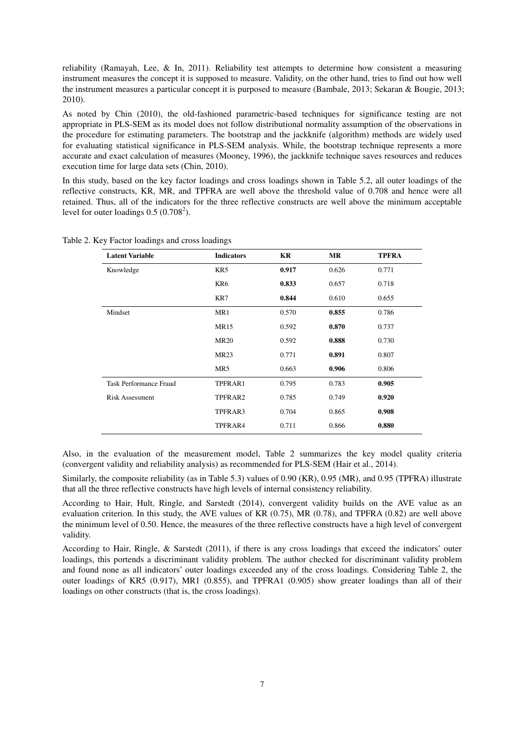reliability (Ramayah, Lee, & In, 2011). Reliability test attempts to determine how consistent a measuring instrument measures the concept it is supposed to measure. Validity, on the other hand, tries to find out how well the instrument measures a particular concept it is purposed to measure (Bambale, 2013; Sekaran & Bougie, 2013; 2010).

As noted by Chin (2010), the old-fashioned parametric-based techniques for significance testing are not appropriate in PLS-SEM as its model does not follow distributional normality assumption of the observations in the procedure for estimating parameters. The bootstrap and the jackknife (algorithm) methods are widely used for evaluating statistical significance in PLS-SEM analysis. While, the bootstrap technique represents a more accurate and exact calculation of measures (Mooney, 1996), the jackknife technique saves resources and reduces execution time for large data sets (Chin, 2010).

In this study, based on the key factor loadings and cross loadings shown in Table 5.2, all outer loadings of the reflective constructs, KR, MR, and TPFRA are well above the threshold value of 0.708 and hence were all retained. Thus, all of the indicators for the three reflective constructs are well above the minimum acceptable level for outer loadings  $0.5 (0.708^2)$ .

| <b>Latent Variable</b>        | <b>Indicators</b> | KR    | MR    | <b>TPFRA</b> |
|-------------------------------|-------------------|-------|-------|--------------|
| Knowledge                     | KR5               | 0.917 | 0.626 | 0.771        |
|                               | KR6               | 0.833 | 0.657 | 0.718        |
|                               | KR7               | 0.844 | 0.610 | 0.655        |
| Mindset                       | MR1               | 0.570 | 0.855 | 0.786        |
|                               | <b>MR15</b>       | 0.592 | 0.870 | 0.737        |
|                               | <b>MR20</b>       | 0.592 | 0.888 | 0.730        |
|                               | <b>MR23</b>       | 0.771 | 0.891 | 0.807        |
|                               | MR5               | 0.663 | 0.906 | 0.806        |
| <b>Task Performance Fraud</b> | TPFRAR1           | 0.795 | 0.783 | 0.905        |
| <b>Risk Assessment</b>        | TPFRAR2           | 0.785 | 0.749 | 0.920        |
|                               | TPFRAR3           | 0.704 | 0.865 | 0.908        |
|                               | TPFRAR4           | 0.711 | 0.866 | 0.880        |

Table 2. Key Factor loadings and cross loadings

Also, in the evaluation of the measurement model, Table 2 summarizes the key model quality criteria (convergent validity and reliability analysis) as recommended for PLS-SEM (Hair et al., 2014).

Similarly, the composite reliability (as in Table 5.3) values of 0.90 (KR), 0.95 (MR), and 0.95 (TPFRA) illustrate that all the three reflective constructs have high levels of internal consistency reliability.

According to Hair, Hult, Ringle, and Sarstedt (2014), convergent validity builds on the AVE value as an evaluation criterion. In this study, the AVE values of KR (0.75), MR (0.78), and TPFRA (0.82) are well above the minimum level of 0.50. Hence, the measures of the three reflective constructs have a high level of convergent validity.

According to Hair, Ringle, & Sarstedt (2011), if there is any cross loadings that exceed the indicators' outer loadings, this portends a discriminant validity problem. The author checked for discriminant validity problem and found none as all indicators' outer loadings exceeded any of the cross loadings. Considering Table 2, the outer loadings of KR5 (0.917), MR1 (0.855), and TPFRA1 (0.905) show greater loadings than all of their loadings on other constructs (that is, the cross loadings).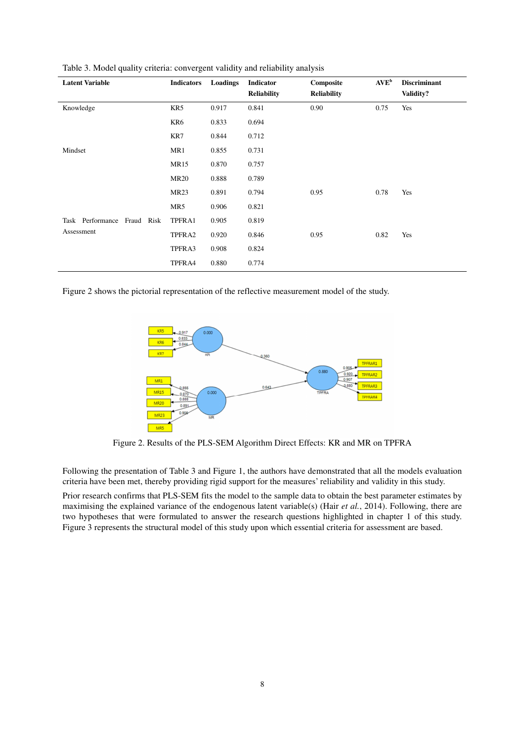| <b>Latent Variable</b>         | <b>Indicators</b> | Loadings | Indicator<br><b>Reliability</b> | Composite<br><b>Reliability</b> | $AVE^{b}$ | <b>Discriminant</b><br>Validity? |
|--------------------------------|-------------------|----------|---------------------------------|---------------------------------|-----------|----------------------------------|
| Knowledge                      | KR5               | 0.917    | 0.841                           | 0.90                            | 0.75      | Yes                              |
|                                | KR6               | 0.833    | 0.694                           |                                 |           |                                  |
|                                | KR7               | 0.844    | 0.712                           |                                 |           |                                  |
| Mindset                        | MR1               | 0.855    | 0.731                           |                                 |           |                                  |
|                                | <b>MR15</b>       | 0.870    | 0.757                           |                                 |           |                                  |
|                                | <b>MR20</b>       | 0.888    | 0.789                           |                                 |           |                                  |
|                                | <b>MR23</b>       | 0.891    | 0.794                           | 0.95                            | 0.78      | Yes                              |
|                                | MR5               | 0.906    | 0.821                           |                                 |           |                                  |
| Task Performance<br>Fraud Risk | TPFRA1            | 0.905    | 0.819                           |                                 |           |                                  |
| Assessment                     | TPFRA2            | 0.920    | 0.846                           | 0.95                            | 0.82      | Yes                              |
|                                | TPFRA3            | 0.908    | 0.824                           |                                 |           |                                  |
|                                | TPFRA4            | 0.880    | 0.774                           |                                 |           |                                  |

Table 3. Model quality criteria: convergent validity and reliability analysis

Figure 2 shows the pictorial representation of the reflective measurement model of the study.



Figure 2. Results of the PLS-SEM Algorithm Direct Effects: KR and MR on TPFRA

Following the presentation of Table 3 and Figure 1, the authors have demonstrated that all the models evaluation criteria have been met, thereby providing rigid support for the measures' reliability and validity in this study.

Prior research confirms that PLS-SEM fits the model to the sample data to obtain the best parameter estimates by maximising the explained variance of the endogenous latent variable(s) (Hair *et al.*, 2014). Following, there are two hypotheses that were formulated to answer the research questions highlighted in chapter 1 of this study. Figure 3 represents the structural model of this study upon which essential criteria for assessment are based.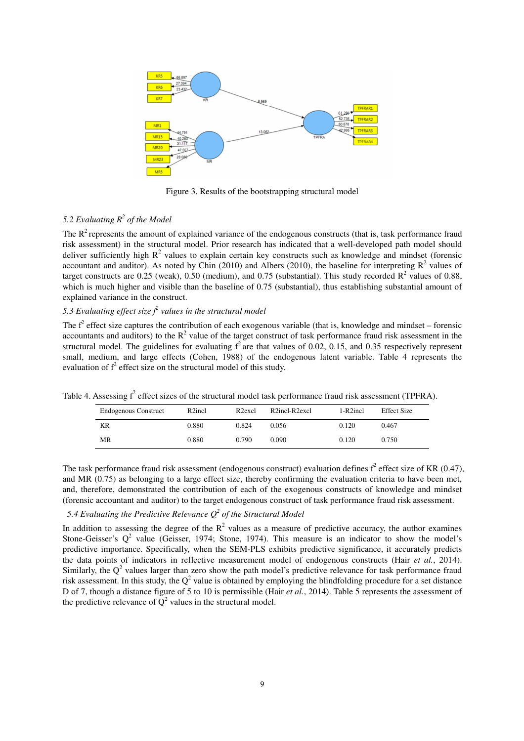

Figure 3. Results of the bootstrapping structural model

# *5.2 Evaluating R<sup>2</sup> of the Model*

The  $R^2$  represents the amount of explained variance of the endogenous constructs (that is, task performance fraud risk assessment) in the structural model. Prior research has indicated that a well-developed path model should deliver sufficiently high  $R^2$  values to explain certain key constructs such as knowledge and mindset (forensic accountant and auditor). As noted by Chin (2010) and Albers (2010), the baseline for interpreting  $\mathbb{R}^2$  values of target constructs are 0.25 (weak), 0.50 (medium), and 0.75 (substantial). This study recorded  $R^2$  values of 0.88, which is much higher and visible than the baseline of 0.75 (substantial), thus establishing substantial amount of explained variance in the construct.

# 5.3 Evaluating effect size  $f^2$  values in the structural model

The  $f^2$  effect size captures the contribution of each exogenous variable (that is, knowledge and mindset – forensic accountants and auditors) to the  $R^2$  value of the target construct of task performance fraud risk assessment in the structural model. The guidelines for evaluating  $f^2$  are that values of 0.02, 0.15, and 0.35 respectively represent small, medium, and large effects (Cohen, 1988) of the endogenous latent variable. Table 4 represents the evaluation of  $f^2$  effect size on the structural model of this study.

| <b>Endogenous Construct</b> | R <sub>2</sub> incl | R <sub>2</sub> excl | R2incl-R2excl | $1-R2$ incl | <b>Effect Size</b> |  |
|-----------------------------|---------------------|---------------------|---------------|-------------|--------------------|--|
| KR                          | 0.880               | 0.824               | 0.056         | 0.120       | 0.467              |  |
| MR                          | 0.880               | 0.790               | 0.090         | 0.120       | 0.750              |  |

Table 4. Assessing  $f^2$  effect sizes of the structural model task performance fraud risk assessment (TPFRA).

The task performance fraud risk assessment (endogenous construct) evaluation defines  $f^2$  effect size of KR (0.47), and MR (0.75) as belonging to a large effect size, thereby confirming the evaluation criteria to have been met, and, therefore, demonstrated the contribution of each of the exogenous constructs of knowledge and mindset (forensic accountant and auditor) to the target endogenous construct of task performance fraud risk assessment.

# *5.4 Evaluating the Predictive Relevance Q<sup>2</sup> of the Structural Model*

In addition to assessing the degree of the  $R^2$  values as a measure of predictive accuracy, the author examines Stone-Geisser's  $Q^2$  value (Geisser, 1974; Stone, 1974). This measure is an indicator to show the model's predictive importance. Specifically, when the SEM-PLS exhibits predictive significance, it accurately predicts the data points of indicators in reflective measurement model of endogenous constructs (Hair *et al.*, 2014). Similarly, the  $Q^2$  values larger than zero show the path model's predictive relevance for task performance fraud risk assessment. In this study, the  $Q^2$  value is obtained by employing the blindfolding procedure for a set distance D of 7, though a distance figure of 5 to 10 is permissible (Hair *et al.*, 2014). Table 5 represents the assessment of the predictive relevance of  $Q^2$  values in the structural model.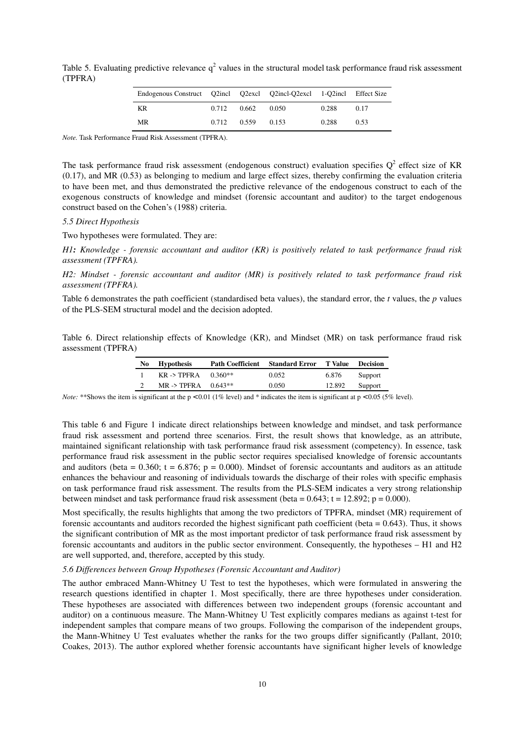Table 5. Evaluating predictive relevance  $q^2$  values in the structural model task performance fraud risk assessment (TPFRA)

| Endogenous Construct Q2incl Q2excl Q2incl-Q2excl 1-Q2incl Effect Size |             |       |       |       |      |
|-----------------------------------------------------------------------|-------------|-------|-------|-------|------|
| KR                                                                    | 0.712       | 0.662 | 0.050 | 0.288 | 0.17 |
| MR                                                                    | 0.712 0.559 |       | 0.153 | 0.288 | 0.53 |

*Note.* Task Performance Fraud Risk Assessment (TPFRA).

The task performance fraud risk assessment (endogenous construct) evaluation specifies  $Q^2$  effect size of KR (0.17), and MR (0.53) as belonging to medium and large effect sizes, thereby confirming the evaluation criteria to have been met, and thus demonstrated the predictive relevance of the endogenous construct to each of the exogenous constructs of knowledge and mindset (forensic accountant and auditor) to the target endogenous construct based on the Cohen's (1988) criteria.

#### *5.5 Direct Hypothesis*

Two hypotheses were formulated. They are:

*H1: Knowledge - forensic accountant and auditor (KR) is positively related to task performance fraud risk assessment (TPFRA).* 

*H2: Mindset - forensic accountant and auditor (MR) is positively related to task performance fraud risk assessment (TPFRA).*

Table 6 demonstrates the path coefficient (standardised beta values), the standard error, the *t* values, the *p* values of the PLS-SEM structural model and the decision adopted.

Table 6. Direct relationship effects of Knowledge (KR), and Mindset (MR) on task performance fraud risk assessment (TPFRA)

| No Hypothesis          |         | <b>Path Coefficient Standard Error T Value</b> |        | <b>Decision</b> |
|------------------------|---------|------------------------------------------------|--------|-----------------|
| $KR \rightarrow TPERA$ | 0.360** | 0.052                                          | 6.876  | Support         |
| MR -> TPFRA $0.643**$  |         | 0.050                                          | 12.892 | Support         |

*Note:* \*\*Shows the item is significant at the  $p < 0.01$  (1% level) and \* indicates the item is significant at  $p < 0.05$  (5% level).

This table 6 and Figure 1 indicate direct relationships between knowledge and mindset, and task performance fraud risk assessment and portend three scenarios. First, the result shows that knowledge, as an attribute, maintained significant relationship with task performance fraud risk assessment (competency). In essence, task performance fraud risk assessment in the public sector requires specialised knowledge of forensic accountants and auditors (beta =  $0.360$ ; t =  $6.876$ ; p = 0.000). Mindset of forensic accountants and auditors as an attitude enhances the behaviour and reasoning of individuals towards the discharge of their roles with specific emphasis on task performance fraud risk assessment. The results from the PLS-SEM indicates a very strong relationship between mindset and task performance fraud risk assessment (beta =  $0.643$ ; t =  $12.892$ ; p =  $0.000$ ).

Most specifically, the results highlights that among the two predictors of TPFRA, mindset (MR) requirement of forensic accountants and auditors recorded the highest significant path coefficient (beta = 0.643). Thus, it shows the significant contribution of MR as the most important predictor of task performance fraud risk assessment by forensic accountants and auditors in the public sector environment. Consequently, the hypotheses – H1 and H2 are well supported, and, therefore, accepted by this study.

#### *5.6 Differences between Group Hypotheses (Forensic Accountant and Auditor)*

The author embraced Mann-Whitney U Test to test the hypotheses, which were formulated in answering the research questions identified in chapter 1. Most specifically, there are three hypotheses under consideration. These hypotheses are associated with differences between two independent groups (forensic accountant and auditor) on a continuous measure. The Mann-Whitney U Test explicitly compares medians as against t-test for independent samples that compare means of two groups. Following the comparison of the independent groups, the Mann-Whitney U Test evaluates whether the ranks for the two groups differ significantly (Pallant, 2010; Coakes, 2013). The author explored whether forensic accountants have significant higher levels of knowledge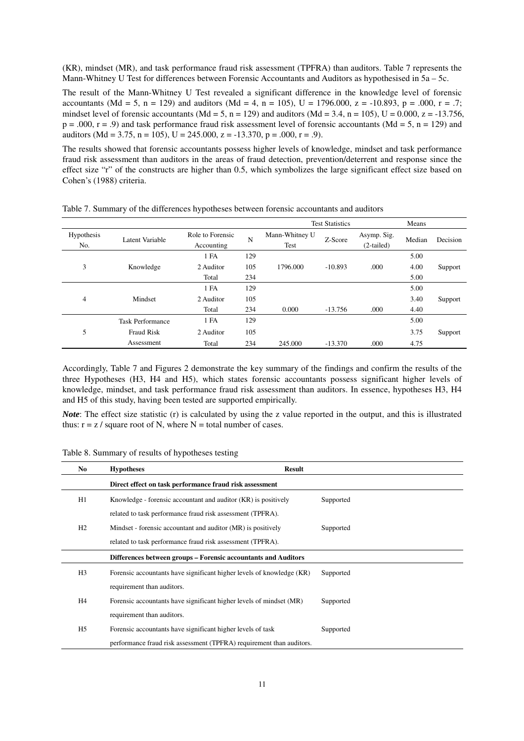(KR), mindset (MR), and task performance fraud risk assessment (TPFRA) than auditors. Table 7 represents the Mann-Whitney U Test for differences between Forensic Accountants and Auditors as hypothesised in 5a – 5c.

The result of the Mann-Whitney U Test revealed a significant difference in the knowledge level of forensic accountants (Md = 5, n = 129) and auditors (Md = 4, n = 105), U = 1796.000, z = -10.893, p = .000, r = .7; mindset level of forensic accountants (Md = 5, n = 129) and auditors (Md = 3.4, n = 105), U = 0.000, z = -13.756,  $p = .000$ ,  $r = .9$ ) and task performance fraud risk assessment level of forensic accountants (Md = 5, n = 129) and auditors (Md = 3.75, n = 105), U = 245.000, z = -13.370, p = .000, r = .9).

The results showed that forensic accountants possess higher levels of knowledge, mindset and task performance fraud risk assessment than auditors in the areas of fraud detection, prevention/deterrent and response since the effect size "r" of the constructs are higher than 0.5, which symbolizes the large significant effect size based on Cohen's (1988) criteria.

|                   |                         |                                |     |                        | <b>Test Statistics</b> |                             | Means  |          |
|-------------------|-------------------------|--------------------------------|-----|------------------------|------------------------|-----------------------------|--------|----------|
| Hypothesis<br>No. | Latent Variable         | Role to Forensic<br>Accounting | N   | Mann-Whitney U<br>Test | Z-Score                | Asymp. Sig.<br>$(2-tailed)$ | Median | Decision |
|                   |                         | 1 FA                           | 129 |                        |                        |                             | 5.00   |          |
| 3                 | Knowledge               | 2 Auditor                      | 105 | 1796.000               | $-10.893$              | .000                        | 4.00   | Support  |
|                   |                         | Total                          | 234 |                        |                        |                             | 5.00   |          |
|                   |                         | 1 FA                           | 129 |                        |                        |                             | 5.00   |          |
| 4                 | Mindset                 | 2 Auditor                      | 105 |                        |                        |                             | 3.40   | Support  |
|                   |                         | Total                          | 234 | 0.000                  | $-13.756$              | .000                        | 4.40   |          |
|                   | <b>Task Performance</b> | 1 FA                           | 129 |                        |                        |                             | 5.00   |          |
| 5                 | <b>Fraud Risk</b>       | 2 Auditor                      | 105 |                        |                        |                             | 3.75   | Support  |
|                   | Assessment              | Total                          | 234 | 245.000                | $-13.370$              | .000                        | 4.75   |          |

Table 7. Summary of the differences hypotheses between forensic accountants and auditors

Accordingly, Table 7 and Figures 2 demonstrate the key summary of the findings and confirm the results of the three Hypotheses (H3, H4 and H5), which states forensic accountants possess significant higher levels of knowledge, mindset, and task performance fraud risk assessment than auditors. In essence, hypotheses H3, H4 and H5 of this study, having been tested are supported empirically.

*Note*: The effect size statistic (r) is calculated by using the z value reported in the output, and this is illustrated thus:  $r = z / square root of N$ , where  $N = total number of cases$ .

Table 8. Summary of results of hypotheses testing

| No.            | <b>Hypotheses</b>                                                     | <b>Result</b> |
|----------------|-----------------------------------------------------------------------|---------------|
|                | Direct effect on task performance fraud risk assessment               |               |
| H1             | Knowledge - forensic accountant and auditor (KR) is positively        | Supported     |
|                | related to task performance fraud risk assessment (TPFRA).            |               |
| H <sub>2</sub> | Mindset - forensic accountant and auditor (MR) is positively          | Supported     |
|                | related to task performance fraud risk assessment (TPFRA).            |               |
|                | Differences between groups – Forensic accountants and Auditors        |               |
| H <sub>3</sub> | Forensic accountants have significant higher levels of knowledge (KR) | Supported     |
|                | requirement than auditors.                                            |               |
| H4             | Forensic accountants have significant higher levels of mindset (MR)   | Supported     |
|                | requirement than auditors.                                            |               |
| H <sub>5</sub> | Forensic accountants have significant higher levels of task           | Supported     |
|                | performance fraud risk assessment (TPFRA) requirement than auditors.  |               |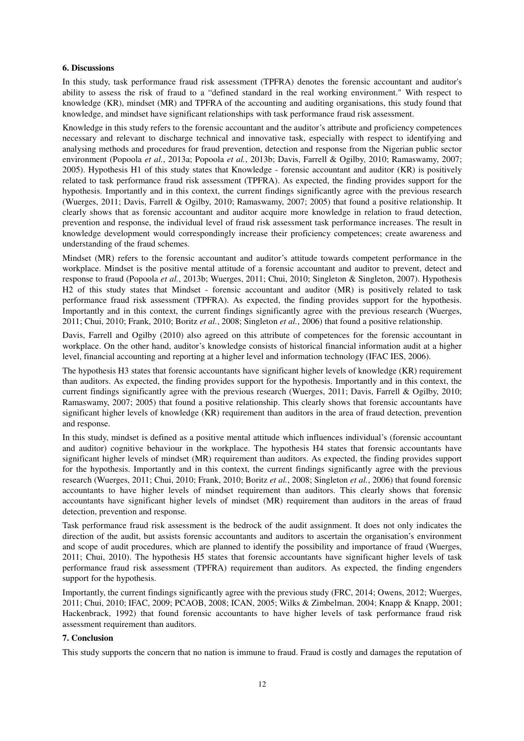#### **6. Discussions**

In this study, task performance fraud risk assessment (TPFRA) denotes the forensic accountant and auditor's ability to assess the risk of fraud to a "defined standard in the real working environment." With respect to knowledge (KR), mindset (MR) and TPFRA of the accounting and auditing organisations, this study found that knowledge, and mindset have significant relationships with task performance fraud risk assessment.

Knowledge in this study refers to the forensic accountant and the auditor's attribute and proficiency competences necessary and relevant to discharge technical and innovative task, especially with respect to identifying and analysing methods and procedures for fraud prevention, detection and response from the Nigerian public sector environment (Popoola *et al.*, 2013a; Popoola *et al.*, 2013b; Davis, Farrell & Ogilby, 2010; Ramaswamy, 2007; 2005). Hypothesis H1 of this study states that Knowledge - forensic accountant and auditor (KR) is positively related to task performance fraud risk assessment (TPFRA). As expected, the finding provides support for the hypothesis. Importantly and in this context, the current findings significantly agree with the previous research (Wuerges, 2011; Davis, Farrell & Ogilby, 2010; Ramaswamy, 2007; 2005) that found a positive relationship. It clearly shows that as forensic accountant and auditor acquire more knowledge in relation to fraud detection, prevention and response, the individual level of fraud risk assessment task performance increases. The result in knowledge development would correspondingly increase their proficiency competences; create awareness and understanding of the fraud schemes.

Mindset (MR) refers to the forensic accountant and auditor's attitude towards competent performance in the workplace. Mindset is the positive mental attitude of a forensic accountant and auditor to prevent, detect and response to fraud (Popoola *et al.*, 2013b; Wuerges, 2011; Chui, 2010; Singleton & Singleton, 2007). Hypothesis H2 of this study states that Mindset - forensic accountant and auditor (MR) is positively related to task performance fraud risk assessment (TPFRA). As expected, the finding provides support for the hypothesis. Importantly and in this context, the current findings significantly agree with the previous research (Wuerges, 2011; Chui, 2010; Frank, 2010; Boritz *et al.*, 2008; Singleton *et al.*, 2006) that found a positive relationship.

Davis, Farrell and Ogilby (2010) also agreed on this attribute of competences for the forensic accountant in workplace. On the other hand, auditor's knowledge consists of historical financial information audit at a higher level, financial accounting and reporting at a higher level and information technology (IFAC IES, 2006).

The hypothesis H3 states that forensic accountants have significant higher levels of knowledge (KR) requirement than auditors. As expected, the finding provides support for the hypothesis. Importantly and in this context, the current findings significantly agree with the previous research (Wuerges, 2011; Davis, Farrell & Ogilby, 2010; Ramaswamy, 2007; 2005) that found a positive relationship. This clearly shows that forensic accountants have significant higher levels of knowledge (KR) requirement than auditors in the area of fraud detection, prevention and response.

In this study, mindset is defined as a positive mental attitude which influences individual's (forensic accountant and auditor) cognitive behaviour in the workplace. The hypothesis H4 states that forensic accountants have significant higher levels of mindset (MR) requirement than auditors. As expected, the finding provides support for the hypothesis. Importantly and in this context, the current findings significantly agree with the previous research (Wuerges, 2011; Chui, 2010; Frank, 2010; Boritz *et al.*, 2008; Singleton *et al.*, 2006) that found forensic accountants to have higher levels of mindset requirement than auditors. This clearly shows that forensic accountants have significant higher levels of mindset (MR) requirement than auditors in the areas of fraud detection, prevention and response.

Task performance fraud risk assessment is the bedrock of the audit assignment. It does not only indicates the direction of the audit, but assists forensic accountants and auditors to ascertain the organisation's environment and scope of audit procedures, which are planned to identify the possibility and importance of fraud (Wuerges, 2011; Chui, 2010). The hypothesis H5 states that forensic accountants have significant higher levels of task performance fraud risk assessment (TPFRA) requirement than auditors. As expected, the finding engenders support for the hypothesis.

Importantly, the current findings significantly agree with the previous study (FRC, 2014; Owens, 2012; Wuerges, 2011; Chui, 2010; IFAC, 2009; PCAOB, 2008; ICAN, 2005; Wilks & Zimbelman, 2004; Knapp & Knapp, 2001; Hackenbrack, 1992) that found forensic accountants to have higher levels of task performance fraud risk assessment requirement than auditors.

#### **7. Conclusion**

This study supports the concern that no nation is immune to fraud. Fraud is costly and damages the reputation of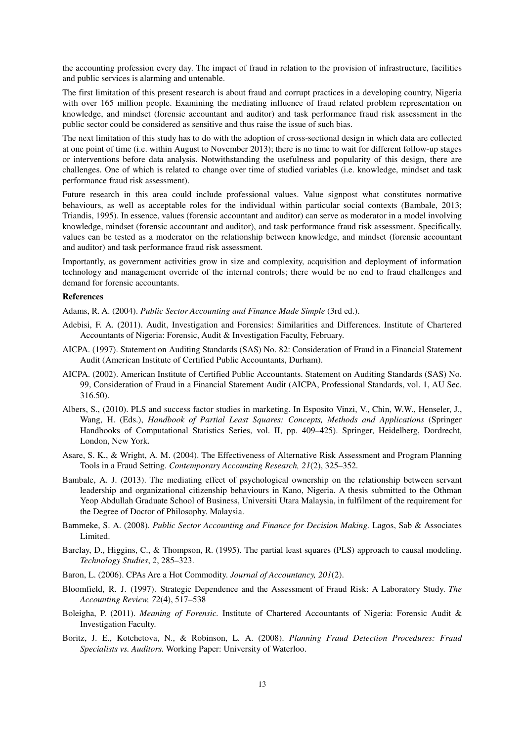the accounting profession every day. The impact of fraud in relation to the provision of infrastructure, facilities and public services is alarming and untenable.

The first limitation of this present research is about fraud and corrupt practices in a developing country, Nigeria with over 165 million people. Examining the mediating influence of fraud related problem representation on knowledge, and mindset (forensic accountant and auditor) and task performance fraud risk assessment in the public sector could be considered as sensitive and thus raise the issue of such bias.

The next limitation of this study has to do with the adoption of cross-sectional design in which data are collected at one point of time (i.e. within August to November 2013); there is no time to wait for different follow-up stages or interventions before data analysis. Notwithstanding the usefulness and popularity of this design, there are challenges. One of which is related to change over time of studied variables (i.e. knowledge, mindset and task performance fraud risk assessment).

Future research in this area could include professional values. Value signpost what constitutes normative behaviours, as well as acceptable roles for the individual within particular social contexts (Bambale, 2013; Triandis, 1995). In essence, values (forensic accountant and auditor) can serve as moderator in a model involving knowledge, mindset (forensic accountant and auditor), and task performance fraud risk assessment. Specifically, values can be tested as a moderator on the relationship between knowledge, and mindset (forensic accountant and auditor) and task performance fraud risk assessment.

Importantly, as government activities grow in size and complexity, acquisition and deployment of information technology and management override of the internal controls; there would be no end to fraud challenges and demand for forensic accountants.

#### **References**

Adams, R. A. (2004). *Public Sector Accounting and Finance Made Simple* (3rd ed.).

- Adebisi, F. A. (2011). Audit, Investigation and Forensics: Similarities and Differences. Institute of Chartered Accountants of Nigeria: Forensic, Audit & Investigation Faculty, February.
- AICPA. (1997). Statement on Auditing Standards (SAS) No. 82: Consideration of Fraud in a Financial Statement Audit (American Institute of Certified Public Accountants, Durham).
- AICPA. (2002). American Institute of Certified Public Accountants. Statement on Auditing Standards (SAS) No. 99, Consideration of Fraud in a Financial Statement Audit (AICPA, Professional Standards, vol. 1, AU Sec. 316.50).
- Albers, S., (2010). PLS and success factor studies in marketing. In Esposito Vinzi, V., Chin, W.W., Henseler, J., Wang, H. (Eds.), *Handbook of Partial Least Squares: Concepts, Methods and Applications* (Springer Handbooks of Computational Statistics Series, vol. II, pp. 409–425). Springer, Heidelberg, Dordrecht, London, New York.
- Asare, S. K., & Wright, A. M. (2004). The Effectiveness of Alternative Risk Assessment and Program Planning Tools in a Fraud Setting. *Contemporary Accounting Research, 21*(2), 325–352.
- Bambale, A. J. (2013). The mediating effect of psychological ownership on the relationship between servant leadership and organizational citizenship behaviours in Kano, Nigeria. A thesis submitted to the Othman Yeop Abdullah Graduate School of Business, Universiti Utara Malaysia, in fulfilment of the requirement for the Degree of Doctor of Philosophy. Malaysia.
- Bammeke, S. A. (2008). *Public Sector Accounting and Finance for Decision Making.* Lagos, Sab & Associates Limited.
- Barclay, D., Higgins, C., & Thompson, R. (1995). The partial least squares (PLS) approach to causal modeling. *Technology Studies*, *2*, 285–323.
- Baron, L. (2006). CPAs Are a Hot Commodity. *Journal of Accountancy, 201*(2).
- Bloomfield, R. J. (1997). Strategic Dependence and the Assessment of Fraud Risk: A Laboratory Study. *The Accounting Review, 72*(4), 517–538
- Boleigha, P. (2011). *Meaning of Forensic.* Institute of Chartered Accountants of Nigeria: Forensic Audit & Investigation Faculty.
- Boritz, J. E., Kotchetova, N., & Robinson, L. A. (2008). *Planning Fraud Detection Procedures: Fraud Specialists vs. Auditors.* Working Paper: University of Waterloo.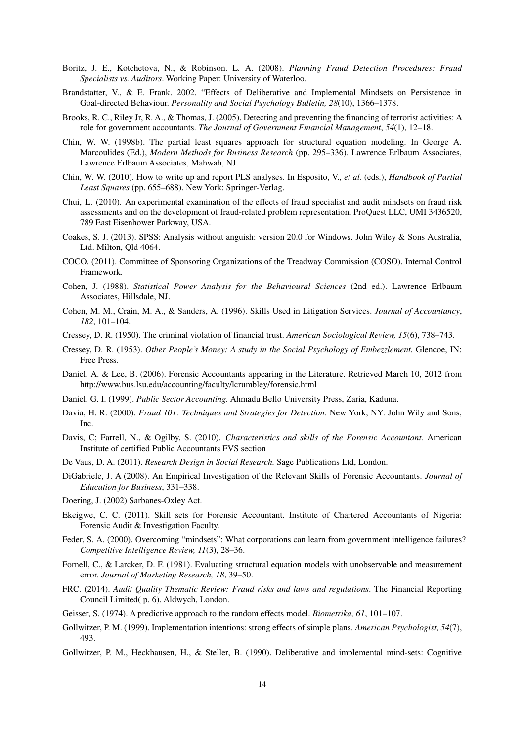- Boritz, J. E., Kotchetova, N., & Robinson. L. A. (2008). *Planning Fraud Detection Procedures: Fraud Specialists vs. Auditors*. Working Paper: University of Waterloo.
- Brandstatter, V., & E. Frank. 2002. "Effects of Deliberative and Implemental Mindsets on Persistence in Goal-directed Behaviour. *Personality and Social Psychology Bulletin, 28*(10), 1366–1378.
- Brooks, R. C., Riley Jr, R. A., & Thomas, J. (2005). Detecting and preventing the financing of terrorist activities: A role for government accountants. *The Journal of Government Financial Management*, *54*(1), 12–18.
- Chin, W. W. (1998b). The partial least squares approach for structural equation modeling. In George A. Marcoulides (Ed.), *Modern Methods for Business Research* (pp. 295–336). Lawrence Erlbaum Associates, Lawrence Erlbaum Associates, Mahwah, NJ.
- Chin, W. W. (2010). How to write up and report PLS analyses. In Esposito, V., *et al.* (eds.), *Handbook of Partial Least Squares* (pp. 655–688). New York: Springer-Verlag.
- Chui, L. (2010). An experimental examination of the effects of fraud specialist and audit mindsets on fraud risk assessments and on the development of fraud-related problem representation. ProQuest LLC, UMI 3436520, 789 East Eisenhower Parkway, USA.
- Coakes, S. J. (2013). SPSS: Analysis without anguish: version 20.0 for Windows. John Wiley & Sons Australia, Ltd. Milton, Qld 4064.
- COCO. (2011). Committee of Sponsoring Organizations of the Treadway Commission (COSO). Internal Control Framework.
- Cohen, J. (1988). *Statistical Power Analysis for the Behavioural Sciences* (2nd ed.). Lawrence Erlbaum Associates, Hillsdale, NJ.
- Cohen, M. M., Crain, M. A., & Sanders, A. (1996). Skills Used in Litigation Services. *Journal of Accountancy*, *182*, 101–104.
- Cressey, D. R. (1950). The criminal violation of financial trust. *American Sociological Review, 15*(6), 738–743.
- Cressey, D. R. (1953). *Other People's Money: A study in the Social Psychology of Embezzlement.* Glencoe, IN: Free Press.
- Daniel, A. & Lee, B. (2006). Forensic Accountants appearing in the Literature. Retrieved March 10, 2012 from http://www.bus.lsu.edu/accounting/faculty/lcrumbley/forensic.html
- Daniel, G. I. (1999). *Public Sector Accounting.* Ahmadu Bello University Press, Zaria, Kaduna.
- Davia, H. R. (2000). *Fraud 101: Techniques and Strategies for Detection*. New York, NY: John Wily and Sons, Inc.
- Davis, C; Farrell, N., & Ogilby, S. (2010). *Characteristics and skills of the Forensic Accountant.* American Institute of certified Public Accountants FVS section
- De Vaus, D. A. (2011). *Research Design in Social Research.* Sage Publications Ltd, London.
- DiGabriele, J. A (2008). An Empirical Investigation of the Relevant Skills of Forensic Accountants. *Journal of Education for Business*, 331–338.
- Doering, J. (2002) Sarbanes-Oxley Act.
- Ekeigwe, C. C. (2011). Skill sets for Forensic Accountant. Institute of Chartered Accountants of Nigeria: Forensic Audit & Investigation Faculty.
- Feder, S. A. (2000). Overcoming "mindsets": What corporations can learn from government intelligence failures? *Competitive Intelligence Review, 11*(3), 28–36.
- Fornell, C., & Larcker, D. F. (1981). Evaluating structural equation models with unobservable and measurement error. *Journal of Marketing Research, 18*, 39–50.
- FRC. (2014). *Audit Quality Thematic Review: Fraud risks and laws and regulations*. The Financial Reporting Council Limited( p. 6). Aldwych, London.
- Geisser, S. (1974). A predictive approach to the random effects model. *Biometrika, 61*, 101–107.
- Gollwitzer, P. M. (1999). Implementation intentions: strong effects of simple plans. *American Psychologist*, *54*(7), 493.
- Gollwitzer, P. M., Heckhausen, H., & Steller, B. (1990). Deliberative and implemental mind-sets: Cognitive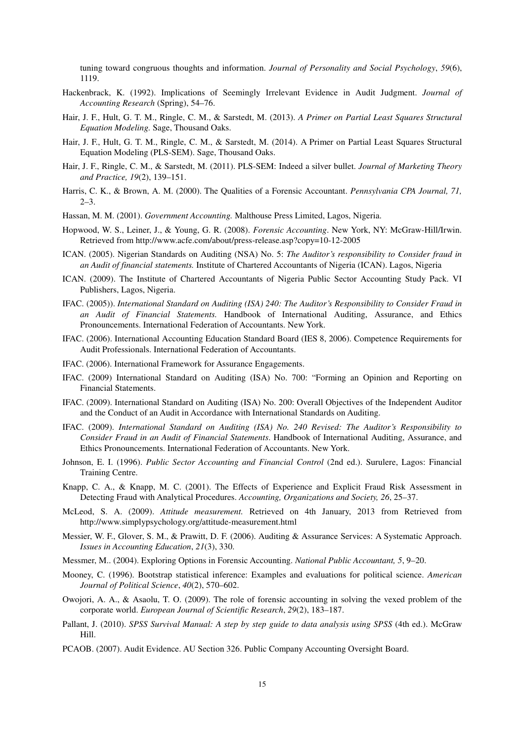tuning toward congruous thoughts and information. *Journal of Personality and Social Psychology*, *59*(6), 1119.

- Hackenbrack, K. (1992). Implications of Seemingly Irrelevant Evidence in Audit Judgment. *Journal of Accounting Research* (Spring), 54–76.
- Hair, J. F., Hult, G. T. M., Ringle, C. M., & Sarstedt, M. (2013). *A Primer on Partial Least Squares Structural Equation Modeling.* Sage, Thousand Oaks.
- Hair, J. F., Hult, G. T. M., Ringle, C. M., & Sarstedt, M. (2014). A Primer on Partial Least Squares Structural Equation Modeling (PLS-SEM). Sage, Thousand Oaks.
- Hair, J. F., Ringle, C. M., & Sarstedt, M. (2011). PLS-SEM: Indeed a silver bullet. *Journal of Marketing Theory and Practice, 19*(2), 139–151.
- Harris, C. K., & Brown, A. M. (2000). The Qualities of a Forensic Accountant. *Pennsylvania CPA Journal, 71,*  2–3.
- Hassan, M. M. (2001). *Government Accounting.* Malthouse Press Limited, Lagos, Nigeria.
- Hopwood, W. S., Leiner, J., & Young, G. R. (2008). *Forensic Accounting*. New York, NY: McGraw-Hill/Irwin. Retrieved from http://www.acfe.com/about/press-release.asp?copy=10-12-2005
- ICAN. (2005). Nigerian Standards on Auditing (NSA) No. 5: *The Auditor's responsibility to Consider fraud in an Audit of financial statements.* Institute of Chartered Accountants of Nigeria (ICAN). Lagos, Nigeria
- ICAN. (2009). The Institute of Chartered Accountants of Nigeria Public Sector Accounting Study Pack. VI Publishers, Lagos, Nigeria.
- IFAC. (2005)). *International Standard on Auditing (ISA) 240: The Auditor's Responsibility to Consider Fraud in an Audit of Financial Statements.* Handbook of International Auditing, Assurance, and Ethics Pronouncements. International Federation of Accountants. New York.
- IFAC. (2006). International Accounting Education Standard Board (IES 8, 2006). Competence Requirements for Audit Professionals. International Federation of Accountants.
- IFAC. (2006). International Framework for Assurance Engagements.
- IFAC. (2009) International Standard on Auditing (ISA) No. 700: "Forming an Opinion and Reporting on Financial Statements.
- IFAC. (2009). International Standard on Auditing (ISA) No. 200: Overall Objectives of the Independent Auditor and the Conduct of an Audit in Accordance with International Standards on Auditing.
- IFAC. (2009). *International Standard on Auditing (ISA) No. 240 Revised: The Auditor's Responsibility to Consider Fraud in an Audit of Financial Statements*. Handbook of International Auditing, Assurance, and Ethics Pronouncements. International Federation of Accountants. New York.
- Johnson, E. I. (1996). *Public Sector Accounting and Financial Control* (2nd ed.). Surulere, Lagos: Financial Training Centre.
- Knapp, C. A., & Knapp, M. C. (2001). The Effects of Experience and Explicit Fraud Risk Assessment in Detecting Fraud with Analytical Procedures. *Accounting, Organizations and Society, 26*, 25–37.
- McLeod, S. A. (2009). *Attitude measurement.* Retrieved on 4th January, 2013 from Retrieved from http://www.simplypsychology.org/attitude-measurement.html
- Messier, W. F., Glover, S. M., & Prawitt, D. F. (2006). Auditing & Assurance Services: A Systematic Approach. *Issues in Accounting Education*, *21*(3), 330.
- Messmer, M.. (2004). Exploring Options in Forensic Accounting. *National Public Accountant, 5*, 9–20.
- Mooney, C. (1996). Bootstrap statistical inference: Examples and evaluations for political science. *American Journal of Political Science*, *40*(2), 570–602.
- Owojori, A. A., & Asaolu, T. O. (2009). The role of forensic accounting in solving the vexed problem of the corporate world. *European Journal of Scientific Research*, *29*(2), 183–187.
- Pallant, J. (2010). *SPSS Survival Manual: A step by step guide to data analysis using SPSS* (4th ed.). McGraw Hill.
- PCAOB. (2007). Audit Evidence. AU Section 326. Public Company Accounting Oversight Board.